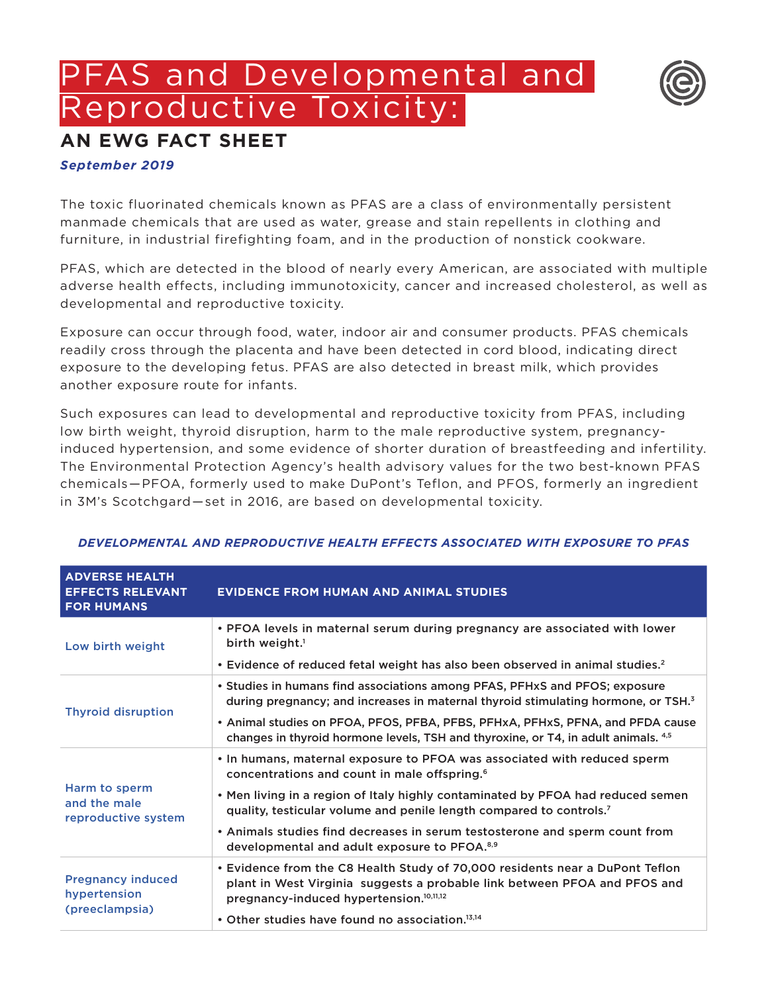# PFAS and Developmental and Reproductive Toxicity:



## **AN EWG FACT SHEET**

### *September 2019*

The toxic fluorinated chemicals known as PFAS are a class of environmentally persistent manmade chemicals that are used as water, grease and stain repellents in clothing and furniture, in industrial firefighting foam, and in the production of nonstick cookware.

PFAS, which are detected in the blood of nearly every American, are associated with multiple adverse health effects, including immunotoxicity, cancer and increased cholesterol, as well as developmental and reproductive toxicity.

Exposure can occur through food, water, indoor air and consumer products. PFAS chemicals readily cross through the placenta and have been detected in cord blood, indicating direct exposure to the developing fetus. PFAS are also detected in breast milk, which provides another exposure route for infants.

Such exposures can lead to developmental and reproductive toxicity from PFAS, including low birth weight, thyroid disruption, harm to the male reproductive system, pregnancyinduced hypertension, and some evidence of shorter duration of breastfeeding and infertility. The Environmental Protection Agency's health advisory values for the two best-known PFAS chemicals—PFOA, formerly used to make DuPont's Teflon, and PFOS, formerly an ingredient in 3M's Scotchgard—set in 2016, are based on developmental toxicity.

| <b>ADVERSE HEALTH</b><br><b>EFFECTS RELEVANT</b><br><b>FOR HUMANS</b> | <b>EVIDENCE FROM HUMAN AND ANIMAL STUDIES</b>                                                                                                                                                                    |
|-----------------------------------------------------------------------|------------------------------------------------------------------------------------------------------------------------------------------------------------------------------------------------------------------|
| Low birth weight                                                      | • PFOA levels in maternal serum during pregnancy are associated with lower<br>birth weight. <sup>1</sup>                                                                                                         |
|                                                                       | • Evidence of reduced fetal weight has also been observed in animal studies. <sup>2</sup>                                                                                                                        |
| <b>Thyroid disruption</b>                                             | • Studies in humans find associations among PFAS, PFHxS and PFOS; exposure<br>during pregnancy; and increases in maternal thyroid stimulating hormone, or TSH. <sup>3</sup>                                      |
|                                                                       | • Animal studies on PFOA, PFOS, PFBA, PFBS, PFHxA, PFHxS, PFNA, and PFDA cause<br>changes in thyroid hormone levels, TSH and thyroxine, or T4, in adult animals. 4,5                                             |
| Harm to sperm<br>and the male<br>reproductive system                  | . In humans, maternal exposure to PFOA was associated with reduced sperm<br>concentrations and count in male offspring. <sup>6</sup>                                                                             |
|                                                                       | . Men living in a region of Italy highly contaminated by PFOA had reduced semen<br>quality, testicular volume and penile length compared to controls. <sup>7</sup>                                               |
|                                                                       | . Animals studies find decreases in serum testosterone and sperm count from<br>developmental and adult exposure to PFOA. <sup>8,9</sup>                                                                          |
| <b>Pregnancy induced</b><br>hypertension<br>(preeclampsia)            | • Evidence from the C8 Health Study of 70,000 residents near a DuPont Teflon<br>plant in West Virginia suggests a probable link between PFOA and PFOS and<br>pregnancy-induced hypertension. <sup>10,11,12</sup> |
|                                                                       | • Other studies have found no association. <sup>13,14</sup>                                                                                                                                                      |

#### *DEVELOPMENTAL AND REPRODUCTIVE HEALTH EFFECTS ASSOCIATED WITH EXPOSURE TO PFAS*